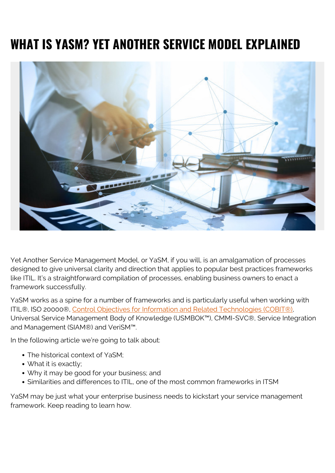# **WHAT IS YASM? YET ANOTHER SERVICE MODEL EXPLAINED**



Yet Another Service Management Model, or YaSM, if you will, is an amalgamation of processes designed to give universal clarity and direction that applies to popular best practices frameworks like ITIL. It's a straightforward compilation of processes, enabling business owners to enact a framework successfully.

YaSM works as a spine for a number of frameworks and is particularly useful when working with ITIL®, ISO 20000®, [Control Objectives for Information and Related Technologies \(COBIT®\)](https://blogs.bmc.com/blogs/cobit/), Universal Service Management Body of Knowledge (USMBOK™), CMMI-SVC®, Service Integration and Management (SIAM®) and VeriSM™.

In the following article we're going to talk about:

- The historical context of YaSM;
- What it is exactly;
- Why it may be good for your business; and
- Similarities and differences to ITIL, one of the most common frameworks in ITSM

YaSM may be just what your enterprise business needs to kickstart your service management framework. Keep reading to learn how.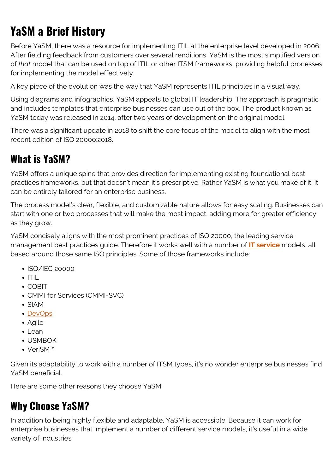# **YaSM a Brief History**

Before YaSM, there was a resource for implementing ITIL at the enterprise level developed in 2006. After fielding feedback from customers over several renditions, YaSM is the most simplified version of *that* model that can be used on top of ITIL or other ITSM frameworks, providing helpful processes for implementing the model effectively.

A key piece of the evolution was the way that YaSM represents ITIL principles in a visual way.

Using diagrams and infographics, YaSM appeals to global IT leadership. The approach is pragmatic and includes templates that enterprise businesses can use out of the box. The product known as YaSM today was released in 2014, after two years of development on the original model.

There was a significant update in 2018 to shift the core focus of the model to align with the most recent edition of ISO 20000:2018.

### **What is YaSM?**

YaSM offers a unique spine that provides direction for implementing existing foundational best practices frameworks, but that doesn't mean it's prescriptive. Rather YaSM is what you make of it. It can be entirely tailored for an enterprise business.

The process model's clear, flexible, and customizable nature allows for easy scaling. Businesses can start with one or two processes that will make the most impact, adding more for greater efficiency as they grow.

YaSM concisely aligns with the most prominent practices of ISO 20000, the leading service management best practices guide. Therefore it works well with a number of **[IT service](https://blogs.bmc.com/blogs/it-service/)** models, all based around those same ISO principles. Some of those frameworks include:

- $\cdot$  ISO/IEC 20000
- $\cdot$  ITIL
- COBIT
- CMMI for Services (CMMI-SVC)
- SIAM
- [DevOps](https://blogs.bmc.com/blogs/devops-basics-introduction/)
- Agile
- $\cdot$  Lean
- USMBOK
- VeriSM™

Given its adaptability to work with a number of ITSM types, it's no wonder enterprise businesses find YaSM beneficial.

Here are some other reasons they choose YaSM:

#### **Why Choose YaSM?**

In addition to being highly flexible and adaptable, YaSM is accessible. Because it can work for enterprise businesses that implement a number of different service models, it's useful in a wide variety of industries.